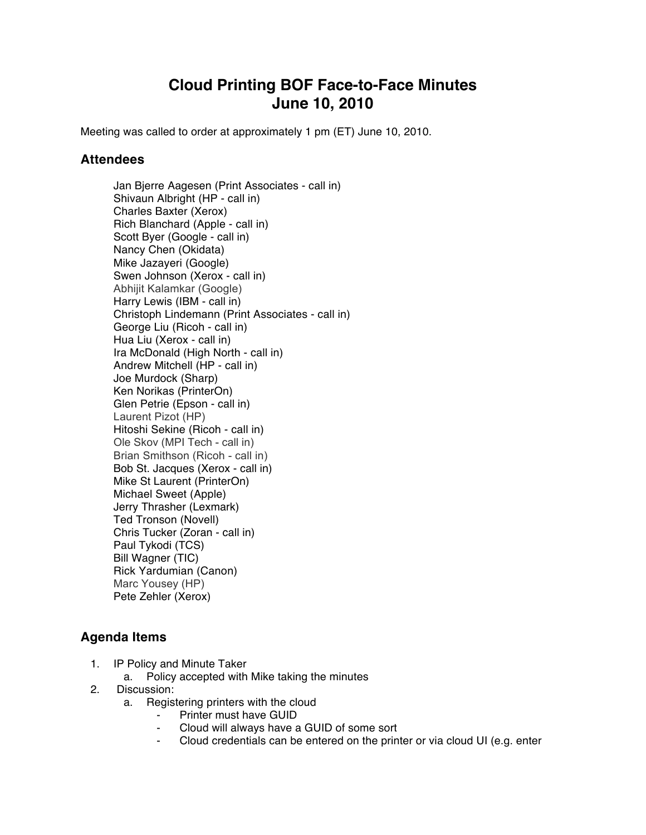## **Cloud Printing BOF Face-to-Face Minutes June 10, 2010**

Meeting was called to order at approximately 1 pm (ET) June 10, 2010.

## **Attendees**

Jan Bjerre Aagesen (Print Associates - call in) Shivaun Albright (HP - call in) Charles Baxter (Xerox) Rich Blanchard (Apple - call in) Scott Byer (Google - call in) Nancy Chen (Okidata) Mike Jazayeri (Google) Swen Johnson (Xerox - call in) Abhijit Kalamkar (Google) Harry Lewis (IBM - call in) Christoph Lindemann (Print Associates - call in) George Liu (Ricoh - call in) Hua Liu (Xerox - call in) Ira McDonald (High North - call in) Andrew Mitchell (HP - call in) Joe Murdock (Sharp) Ken Norikas (PrinterOn) Glen Petrie (Epson - call in) Laurent Pizot (HP) Hitoshi Sekine (Ricoh - call in) Ole Skov (MPI Tech - call in) Brian Smithson (Ricoh - call in) Bob St. Jacques (Xerox - call in) Mike St Laurent (PrinterOn) Michael Sweet (Apple) Jerry Thrasher (Lexmark) Ted Tronson (Novell) Chris Tucker (Zoran - call in) Paul Tykodi (TCS) Bill Wagner (TIC) Rick Yardumian (Canon) Marc Yousey (HP) Pete Zehler (Xerox)

## **Agenda Items**

- 1. IP Policy and Minute Taker
	- a. Policy accepted with Mike taking the minutes
- 2. Discussion:
	- a. Registering printers with the cloud
		- ⁃ Printer must have GUID
		- Cloud will always have a GUID of some sort
		- ⁃ Cloud credentials can be entered on the printer or via cloud UI (e.g. enter